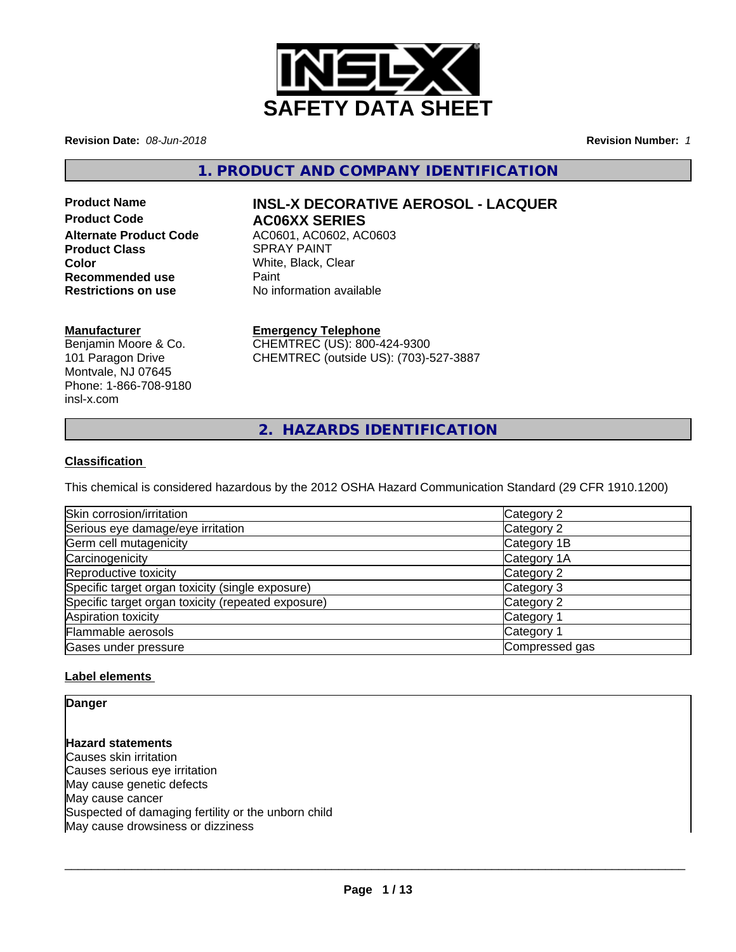

**Revision Date:** *08-Jun-2018* **Revision Number:** *1*

**1. PRODUCT AND COMPANY IDENTIFICATION**

# **Product Code AC06XX SERIES Product Class SPRAY PAINT Color** White, Black, Clear<br> **Recommended use** Paint **Recommended use<br>Restrictions on use**

# **Product Name INSL-X DECORATIVE AEROSOL - LACQUER**

**Alternate Product Code** AC0601, AC0602, AC0603 **No information available** 

# **Manufacturer**

Benjamin Moore & Co. 101 Paragon Drive Montvale, NJ 07645 Phone: 1-866-708-9180 insl-x.com

# **Emergency Telephone**

CHEMTREC (US): 800-424-9300 CHEMTREC (outside US): (703)-527-3887

**2. HAZARDS IDENTIFICATION**

# **Classification**

This chemical is considered hazardous by the 2012 OSHA Hazard Communication Standard (29 CFR 1910.1200)

| Skin corrosion/irritation                          | Category 2            |
|----------------------------------------------------|-----------------------|
| Serious eye damage/eye irritation                  | Category 2            |
| Germ cell mutagenicity                             | Category 1B           |
| Carcinogenicity                                    | Category 1A           |
| Reproductive toxicity                              | Category 2            |
| Specific target organ toxicity (single exposure)   | Category 3            |
| Specific target organ toxicity (repeated exposure) | Category 2            |
| Aspiration toxicity                                | Category <sup>2</sup> |
| Flammable aerosols                                 | Category <sup>2</sup> |
| Gases under pressure                               | Compressed gas        |

# **Label elements**

**Danger**

**Hazard statements** Causes skin irritation Causes serious eye irritation May cause genetic defects May cause cancer Suspected of damaging fertility or the unborn child May cause drowsiness or dizziness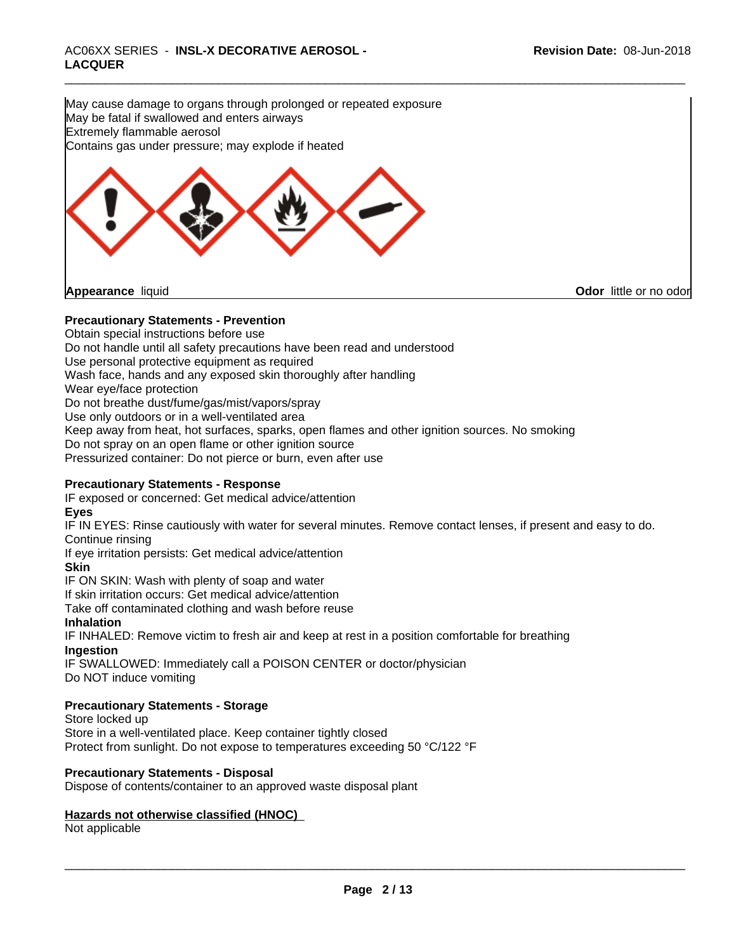May cause damage to organs through prolonged or repeated exposure May be fatal if swallowed and enters airways Extremely flammable aerosol Contains gas under pressure; may explode if heated



**Appearance** liquid **CODO** *Appearance liquid* **Odor**  *CODO CODO* **<b>***CODO CODO CODO CODO CODO CODO CODO CODO CODO CODO CODO CODO CODO CODO CODO CODO CODO* 

# **Precautionary Statements - Prevention**

Obtain special instructions before use

Do not handle until all safety precautions have been read and understood

Use personal protective equipment as required

Wash face, hands and any exposed skin thoroughly after handling

Wear eye/face protection

Do not breathe dust/fume/gas/mist/vapors/spray

Use only outdoors or in a well-ventilated area

Keep away from heat, hot surfaces, sparks, open flames and other ignition sources. No smoking

Do not spray on an open flame or other ignition source

Pressurized container: Do not pierce or burn, even after use

# **Precautionary Statements - Response**

IF exposed or concerned: Get medical advice/attention

# **Eyes**

IF IN EYES: Rinse cautiously with water forseveral minutes. Remove contact lenses, if present and easy to do. Continue rinsing

If eye irritation persists: Get medical advice/attention

# **Skin**

IF ON SKIN: Wash with plenty of soap and water

If skin irritation occurs: Get medical advice/attention

Take off contaminated clothing and wash before reuse

# **Inhalation**

IF INHALED: Remove victim to fresh air and keep at rest in a position comfortable for breathing

# **Ingestion**

IF SWALLOWED: Immediately call a POISON CENTER or doctor/physician Do NOT induce vomiting

# **Precautionary Statements - Storage**

Store locked up Store in a well-ventilated place. Keep container tightly closed Protect from sunlight. Do not expose to temperatures exceeding 50 °C/122 °F

# **Precautionary Statements - Disposal**

Dispose of contents/container to an approved waste disposal plant

# **Hazards not otherwise classified (HNOC)**

Not applicable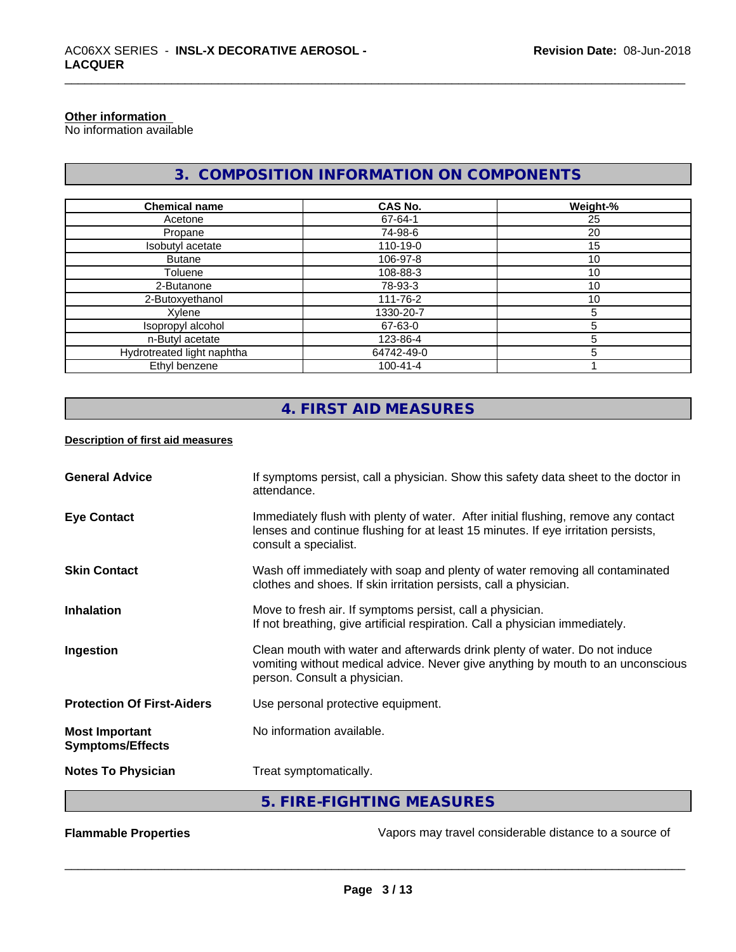# **Other information**

No information available

# **3. COMPOSITION INFORMATION ON COMPONENTS**

| <b>Chemical name</b>       | CAS No.        | Weight-% |
|----------------------------|----------------|----------|
| Acetone                    | 67-64-1        | 25       |
| Propane                    | 74-98-6        | 20       |
| Isobutyl acetate           | 110-19-0       | 15       |
| <b>Butane</b>              | 106-97-8       | 10       |
| Toluene                    | 108-88-3       | 10       |
| 2-Butanone                 | 78-93-3        | 10       |
| 2-Butoxyethanol            | 111-76-2       | 10       |
| Xylene                     | 1330-20-7      | 5        |
| Isopropyl alcohol          | 67-63-0        |          |
| n-Butyl acetate            | 123-86-4       |          |
| Hydrotreated light naphtha | 64742-49-0     |          |
| Ethyl benzene              | $100 - 41 - 4$ |          |

# **4. FIRST AID MEASURES**

# **Description of first aid measures**

| <b>General Advice</b>                            | If symptoms persist, call a physician. Show this safety data sheet to the doctor in<br>attendance.                                                                                               |
|--------------------------------------------------|--------------------------------------------------------------------------------------------------------------------------------------------------------------------------------------------------|
| <b>Eye Contact</b>                               | Immediately flush with plenty of water. After initial flushing, remove any contact<br>lenses and continue flushing for at least 15 minutes. If eye irritation persists,<br>consult a specialist. |
| <b>Skin Contact</b>                              | Wash off immediately with soap and plenty of water removing all contaminated<br>clothes and shoes. If skin irritation persists, call a physician.                                                |
| <b>Inhalation</b>                                | Move to fresh air. If symptoms persist, call a physician.<br>If not breathing, give artificial respiration. Call a physician immediately.                                                        |
| Ingestion                                        | Clean mouth with water and afterwards drink plenty of water. Do not induce<br>vomiting without medical advice. Never give anything by mouth to an unconscious<br>person. Consult a physician.    |
| <b>Protection Of First-Aiders</b>                | Use personal protective equipment.                                                                                                                                                               |
| <b>Most Important</b><br><b>Symptoms/Effects</b> | No information available.                                                                                                                                                                        |
| <b>Notes To Physician</b>                        | Treat symptomatically.                                                                                                                                                                           |
|                                                  | 5. FIRE-FIGHTING MEASURES                                                                                                                                                                        |

**Flammable Properties Exercise 20 All 20 and Section** Vapors may travel considerable distance to a source of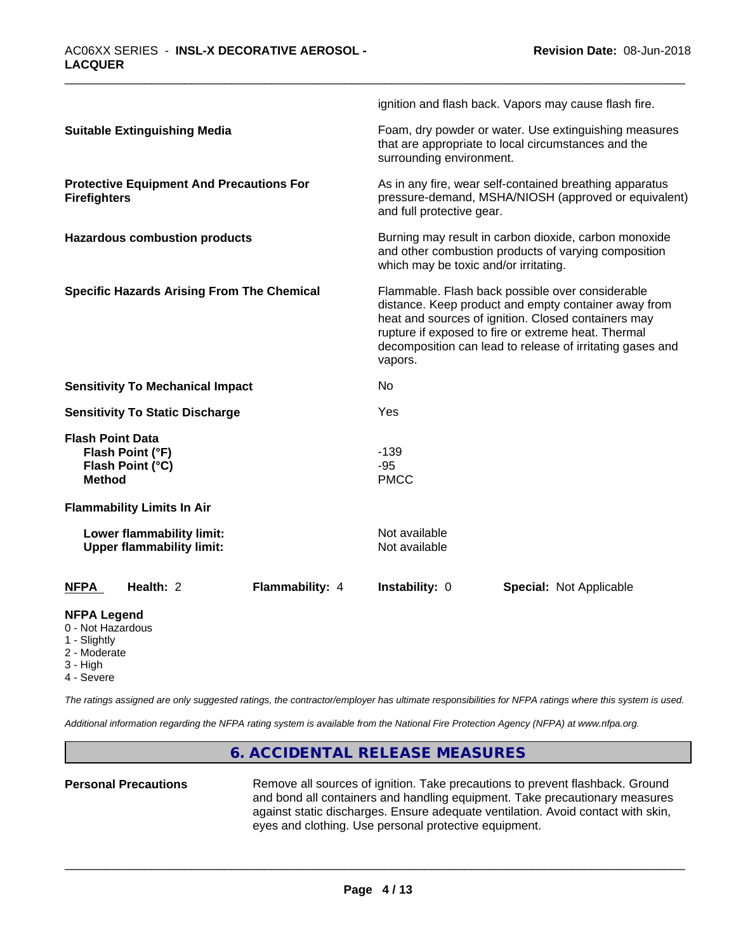|                                                                                  | ignition and flash back. Vapors may cause flash fire.                                                                                                                                                                                                                                                                                                                                                                                                    |  |
|----------------------------------------------------------------------------------|----------------------------------------------------------------------------------------------------------------------------------------------------------------------------------------------------------------------------------------------------------------------------------------------------------------------------------------------------------------------------------------------------------------------------------------------------------|--|
| <b>Suitable Extinguishing Media</b>                                              | Foam, dry powder or water. Use extinguishing measures<br>that are appropriate to local circumstances and the<br>surrounding environment.                                                                                                                                                                                                                                                                                                                 |  |
| <b>Protective Equipment And Precautions For</b><br><b>Firefighters</b>           | As in any fire, wear self-contained breathing apparatus<br>pressure-demand, MSHA/NIOSH (approved or equivalent)<br>and full protective gear.                                                                                                                                                                                                                                                                                                             |  |
| <b>Hazardous combustion products</b>                                             | Burning may result in carbon dioxide, carbon monoxide<br>and other combustion products of varying composition<br>which may be toxic and/or irritating.<br>Flammable. Flash back possible over considerable<br>distance. Keep product and empty container away from<br>heat and sources of ignition. Closed containers may<br>rupture if exposed to fire or extreme heat. Thermal<br>decomposition can lead to release of irritating gases and<br>vapors. |  |
| <b>Specific Hazards Arising From The Chemical</b>                                |                                                                                                                                                                                                                                                                                                                                                                                                                                                          |  |
| <b>Sensitivity To Mechanical Impact</b>                                          | No                                                                                                                                                                                                                                                                                                                                                                                                                                                       |  |
| <b>Sensitivity To Static Discharge</b>                                           | Yes                                                                                                                                                                                                                                                                                                                                                                                                                                                      |  |
| <b>Flash Point Data</b><br>Flash Point (°F)<br>Flash Point (°C)<br><b>Method</b> | $-139$<br>$-95$<br><b>PMCC</b>                                                                                                                                                                                                                                                                                                                                                                                                                           |  |
| <b>Flammability Limits In Air</b>                                                |                                                                                                                                                                                                                                                                                                                                                                                                                                                          |  |
| Lower flammability limit:<br><b>Upper flammability limit:</b>                    | Not available<br>Not available                                                                                                                                                                                                                                                                                                                                                                                                                           |  |
| Health: 2<br>Flammability: 4<br><b>NFPA</b>                                      | Instability: 0<br><b>Special: Not Applicable</b>                                                                                                                                                                                                                                                                                                                                                                                                         |  |
| <b>NFPA Legend</b><br>0 - Not Hazardous<br>1 - Slightly                          |                                                                                                                                                                                                                                                                                                                                                                                                                                                          |  |

- 2 Moderate
- 3 High
- 4 Severe

*The ratings assigned are only suggested ratings, the contractor/employer has ultimate responsibilities for NFPA ratings where this system is used.*

*Additional information regarding the NFPA rating system is available from the National Fire Protection Agency (NFPA) at www.nfpa.org.*

# **6. ACCIDENTAL RELEASE MEASURES**

**Personal Precautions** Remove all sources of ignition. Take precautions to prevent flashback. Ground and bond all containers and handling equipment. Take precautionary measures against static discharges. Ensure adequate ventilation. Avoid contact with skin, eyes and clothing. Use personal protective equipment.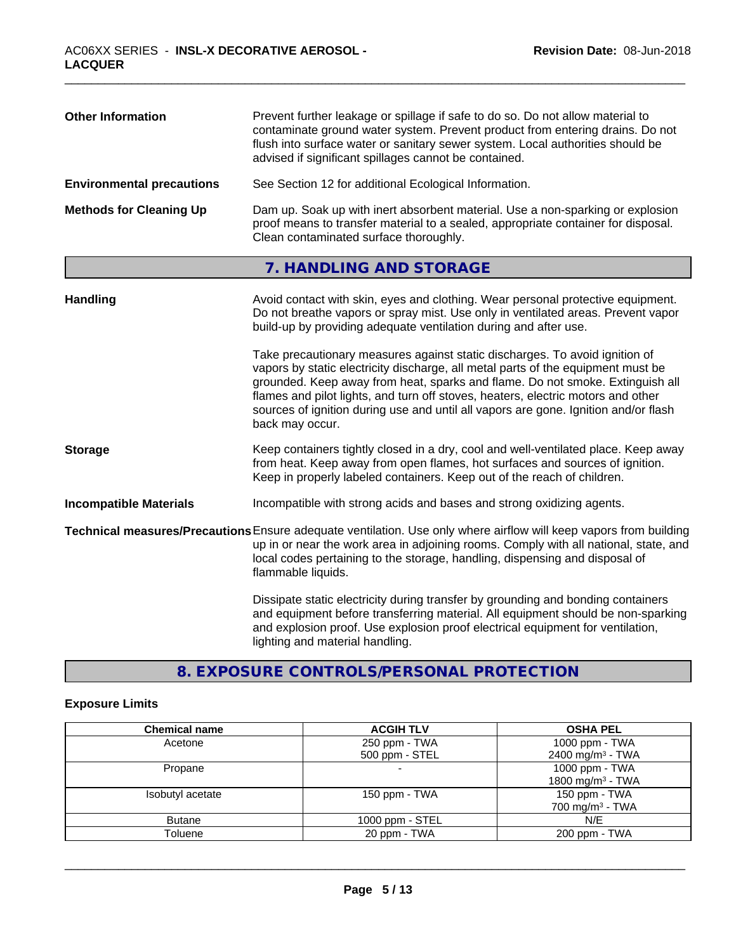| <b>Other Information</b>         | Prevent further leakage or spillage if safe to do so. Do not allow material to<br>contaminate ground water system. Prevent product from entering drains. Do not<br>flush into surface water or sanitary sewer system. Local authorities should be<br>advised if significant spillages cannot be contained. |
|----------------------------------|------------------------------------------------------------------------------------------------------------------------------------------------------------------------------------------------------------------------------------------------------------------------------------------------------------|
| <b>Environmental precautions</b> | See Section 12 for additional Ecological Information.                                                                                                                                                                                                                                                      |
| <b>Methods for Cleaning Up</b>   | Dam up. Soak up with inert absorbent material. Use a non-sparking or explosion<br>proof means to transfer material to a sealed, appropriate container for disposal.<br>Clean contaminated surface thoroughly.                                                                                              |

# **7. HANDLING AND STORAGE**

| <b>Handling</b>               | Avoid contact with skin, eyes and clothing. Wear personal protective equipment.<br>Do not breathe vapors or spray mist. Use only in ventilated areas. Prevent vapor<br>build-up by providing adequate ventilation during and after use.                                                                                                                                                                                                        |
|-------------------------------|------------------------------------------------------------------------------------------------------------------------------------------------------------------------------------------------------------------------------------------------------------------------------------------------------------------------------------------------------------------------------------------------------------------------------------------------|
|                               | Take precautionary measures against static discharges. To avoid ignition of<br>vapors by static electricity discharge, all metal parts of the equipment must be<br>grounded. Keep away from heat, sparks and flame. Do not smoke. Extinguish all<br>flames and pilot lights, and turn off stoves, heaters, electric motors and other<br>sources of ignition during use and until all vapors are gone. Ignition and/or flash<br>back may occur. |
| <b>Storage</b>                | Keep containers tightly closed in a dry, cool and well-ventilated place. Keep away<br>from heat. Keep away from open flames, hot surfaces and sources of ignition.<br>Keep in properly labeled containers. Keep out of the reach of children.                                                                                                                                                                                                  |
| <b>Incompatible Materials</b> | Incompatible with strong acids and bases and strong oxidizing agents.                                                                                                                                                                                                                                                                                                                                                                          |
|                               | Technical measures/Precautions Ensure adequate ventilation. Use only where airflow will keep vapors from building<br>up in or near the work area in adjoining rooms. Comply with all national, state, and<br>local codes pertaining to the storage, handling, dispensing and disposal of<br>flammable liquids.                                                                                                                                 |
|                               | Dissipate static electricity during transfer by grounding and bonding containers<br>and equipment before transferring material. All equipment should be non-sparking<br>and explosion proof. Use explosion proof electrical equipment for ventilation,<br>lighting and material handling.                                                                                                                                                      |

**8. EXPOSURE CONTROLS/PERSONAL PROTECTION**

# **Exposure Limits**

| <b>Chemical name</b> | <b>ACGIH TLV</b>         | <b>OSHA PEL</b>               |
|----------------------|--------------------------|-------------------------------|
| Acetone              | 250 ppm - TWA            | 1000 ppm - TWA                |
|                      | 500 ppm - STEL           | 2400 mg/m <sup>3</sup> - TWA  |
| Propane              | $\overline{\phantom{0}}$ | 1000 ppm $-$ TWA              |
|                      |                          | 1800 mg/m <sup>3</sup> - TWA  |
| Isobutyl acetate     | 150 ppm - $TWA$          | 150 ppm - TWA                 |
|                      |                          | $700$ mg/m <sup>3</sup> - TWA |
| <b>Butane</b>        | 1000 ppm - STEL          | N/E                           |
| Toluene              | 20 ppm - TWA             | 200 ppm - TWA                 |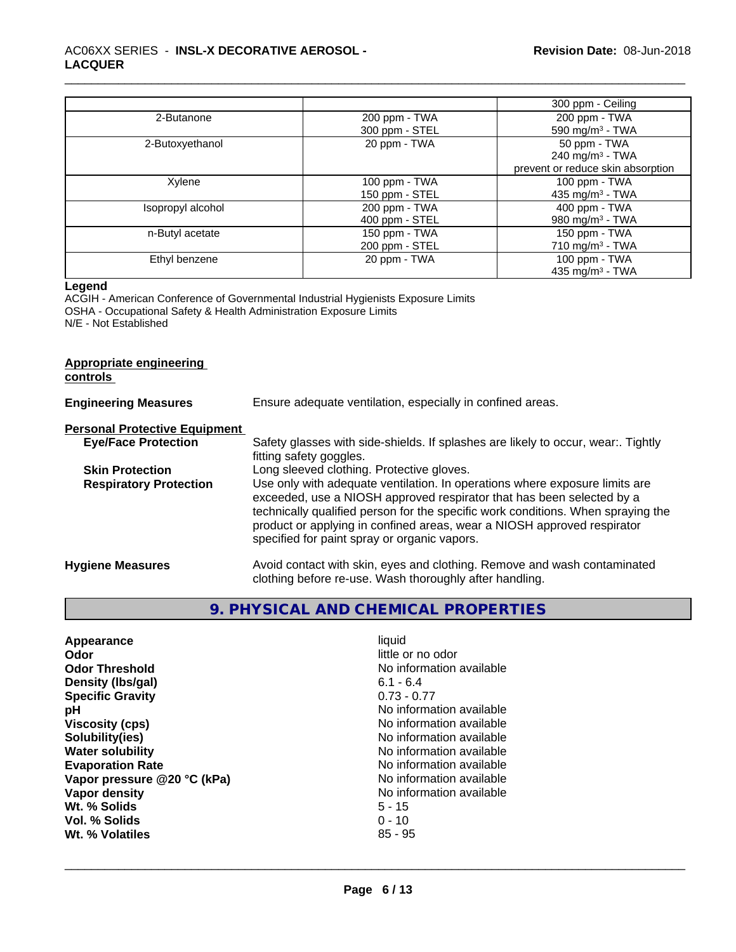|                   |                | 300 ppm - Ceiling                 |
|-------------------|----------------|-----------------------------------|
| 2-Butanone        | 200 ppm - TWA  | 200 ppm - TWA                     |
|                   | 300 ppm - STEL | 590 mg/m <sup>3</sup> - TWA       |
| 2-Butoxyethanol   | 20 ppm - TWA   | 50 ppm - TWA                      |
|                   |                | 240 mg/m <sup>3</sup> - TWA       |
|                   |                | prevent or reduce skin absorption |
| Xylene            | 100 ppm - TWA  | 100 ppm - TWA                     |
|                   | 150 ppm - STEL | 435 mg/m $3$ - TWA                |
| Isopropyl alcohol | 200 ppm - TWA  | 400 ppm - TWA                     |
|                   | 400 ppm - STEL | 980 mg/m $3$ - TWA                |
| n-Butyl acetate   | 150 ppm - TWA  | 150 ppm - TWA                     |
|                   | 200 ppm - STEL | $710 \text{ mg/m}^3$ - TWA        |
| Ethyl benzene     | 20 ppm - TWA   | 100 ppm - TWA                     |
|                   |                | 435 mg/m <sup>3</sup> - TWA       |

#### **Legend**

ACGIH - American Conference of Governmental Industrial Hygienists Exposure Limits OSHA - Occupational Safety & Health Administration Exposure Limits N/E - Not Established

# **Appropriate engineering**

**controls** 

| <b>Engineering Measures</b>          | Ensure adequate ventilation, especially in confined areas.                                                                                                                                                                                                                                                                                                          |  |
|--------------------------------------|---------------------------------------------------------------------------------------------------------------------------------------------------------------------------------------------------------------------------------------------------------------------------------------------------------------------------------------------------------------------|--|
| <b>Personal Protective Equipment</b> |                                                                                                                                                                                                                                                                                                                                                                     |  |
| <b>Eye/Face Protection</b>           | Safety glasses with side-shields. If splashes are likely to occur, wear Tightly<br>fitting safety goggles.                                                                                                                                                                                                                                                          |  |
| <b>Skin Protection</b>               | Long sleeved clothing. Protective gloves.                                                                                                                                                                                                                                                                                                                           |  |
| <b>Respiratory Protection</b>        | Use only with adequate ventilation. In operations where exposure limits are<br>exceeded, use a NIOSH approved respirator that has been selected by a<br>technically qualified person for the specific work conditions. When spraying the<br>product or applying in confined areas, wear a NIOSH approved respirator<br>specified for paint spray or organic vapors. |  |
| <b>Hygiene Measures</b>              | Avoid contact with skin, eyes and clothing. Remove and wash contaminated<br>clothing before re-use. Wash thoroughly after handling.                                                                                                                                                                                                                                 |  |

# **9. PHYSICAL AND CHEMICAL PROPERTIES**

| Appearance                  | liquid                   |
|-----------------------------|--------------------------|
| Odor                        | little or no odor        |
| <b>Odor Threshold</b>       | No information available |
| Density (Ibs/gal)           | $6.1 - 6.4$              |
| <b>Specific Gravity</b>     | $0.73 - 0.77$            |
| рH                          | No information available |
| <b>Viscosity (cps)</b>      | No information available |
| Solubility(ies)             | No information available |
| <b>Water solubility</b>     | No information available |
| <b>Evaporation Rate</b>     | No information available |
| Vapor pressure @20 °C (kPa) | No information available |
| Vapor density               | No information available |
| Wt. % Solids                | $5 - 15$                 |
| Vol. % Solids               | $0 - 10$                 |
| Wt. % Volatiles             | $85 - 95$                |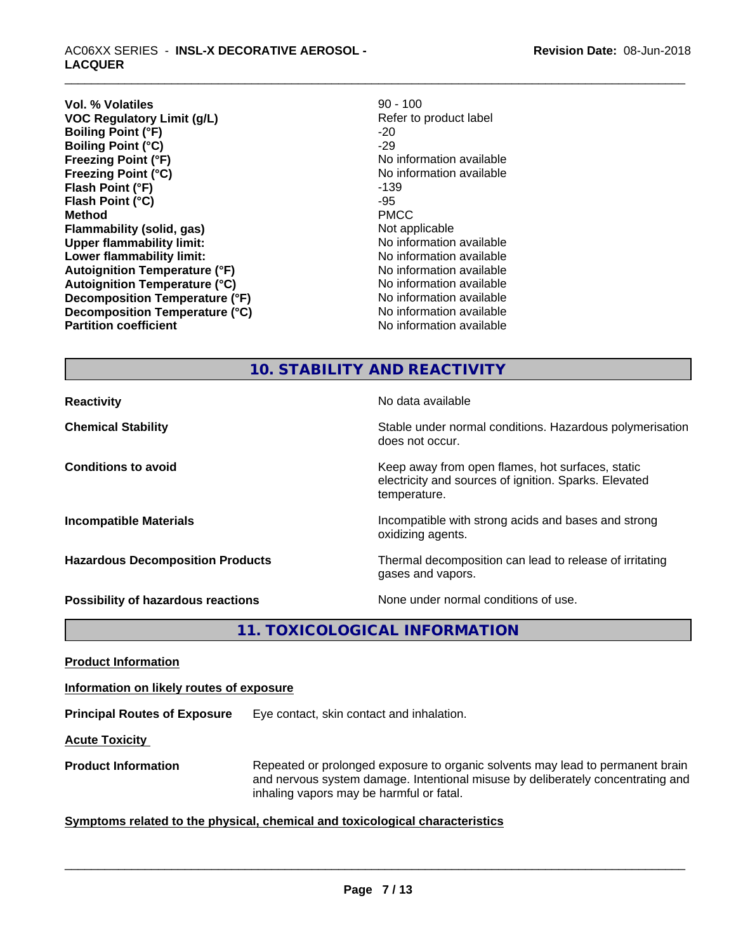**Vol. % Volatiles**<br> **VOC Regulatory Limit (g/L)**<br> **VOC Regulatory Limit (g/L) Example 2008** Refer to product label **VOC** Regulatory Limit (g/L) **Boiling Point (°F)** -20<br> **Boiling Point (°C)** -29 **Boiling Point (°C) Freezing Point (°F)** The state of the state of the Noinformation available **Freezing Point (°C)** The state of the Monometer No information available **Flash Point (°F)** -139 **Flash Point (°C)** -95 **Method** PMCC **Flammability (solid, gas)** Not applicable **Upper flammability limit:** No information available **Lower flammability limit:**  $\qquad \qquad \qquad$  No information available **Autoignition Temperature (°F)**<br> **Autoignition Temperature (°C)** No information available **Autoignition Temperature (°C) Decomposition Temperature (°F)** No information available **Decomposition Temperature (°C)**<br> **Partition coefficient**<br> **Partition coefficient**<br> **No** information available

**No information available** 

# **10. STABILITY AND REACTIVITY**

**Reactivity No data available Reactivity Chemical Stability Stability** Stable under normal conditions. Hazardous polymerisation does not occur. **Conditions to avoid** Conditions **to avoid** Keep away from open flames, hot surfaces, static electricity and sources of ignition. Sparks. Elevated temperature. **Incompatible Materials Incompatible with strong acids and bases and strong** oxidizing agents. **Hazardous Decomposition Products** Thermal decomposition can lead to release of irritating gases and vapors. **Possibility of hazardous reactions** None under normal conditions of use.

**11. TOXICOLOGICAL INFORMATION**

**Product Information**

**Information on likely routes of exposure**

**Principal Routes of Exposure** Eye contact, skin contact and inhalation.

**Acute Toxicity** 

**Product Information** Repeated or prolonged exposure to organic solvents may lead to permanent brain and nervous system damage. Intentional misuse by deliberately concentrating and inhaling vapors may be harmful or fatal.

# **Symptoms** related to the physical, chemical and toxicological characteristics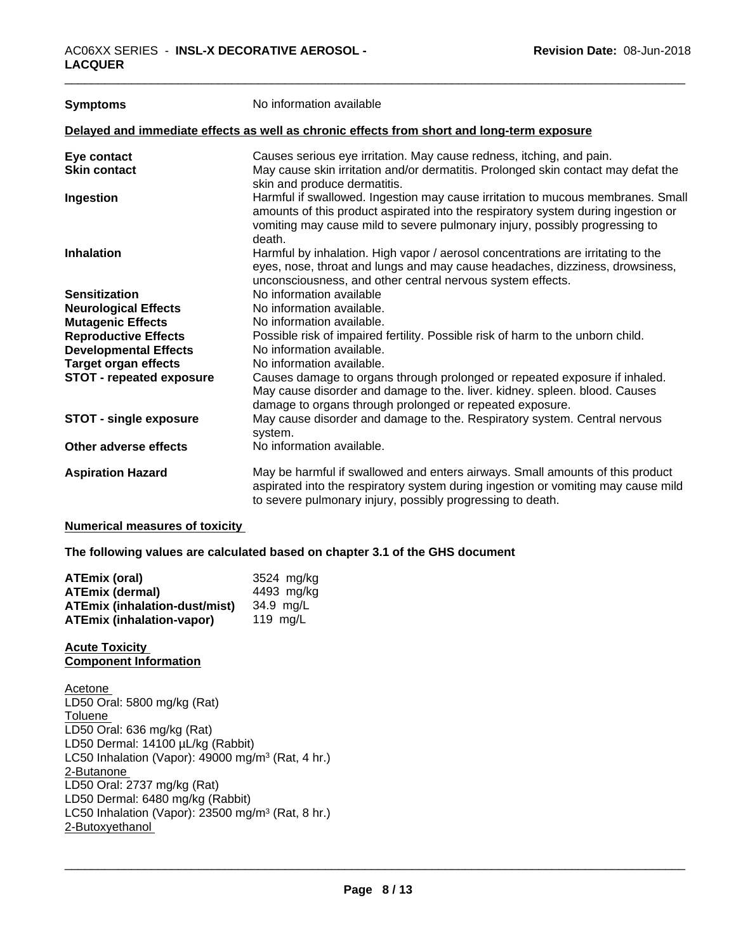| <b>Symptoms</b>                 | No information available                                                                                                                                                                                                                                      |
|---------------------------------|---------------------------------------------------------------------------------------------------------------------------------------------------------------------------------------------------------------------------------------------------------------|
|                                 | Delayed and immediate effects as well as chronic effects from short and long-term exposure                                                                                                                                                                    |
| Eye contact                     | Causes serious eye irritation. May cause redness, itching, and pain.                                                                                                                                                                                          |
| <b>Skin contact</b>             | May cause skin irritation and/or dermatitis. Prolonged skin contact may defat the<br>skin and produce dermatitis.                                                                                                                                             |
| Ingestion                       | Harmful if swallowed. Ingestion may cause irritation to mucous membranes. Small<br>amounts of this product aspirated into the respiratory system during ingestion or<br>vomiting may cause mild to severe pulmonary injury, possibly progressing to<br>death. |
| <b>Inhalation</b>               | Harmful by inhalation. High vapor / aerosol concentrations are irritating to the<br>eyes, nose, throat and lungs and may cause headaches, dizziness, drowsiness,<br>unconsciousness, and other central nervous system effects.                                |
| <b>Sensitization</b>            | No information available                                                                                                                                                                                                                                      |
| <b>Neurological Effects</b>     | No information available.                                                                                                                                                                                                                                     |
| <b>Mutagenic Effects</b>        | No information available.                                                                                                                                                                                                                                     |
| <b>Reproductive Effects</b>     | Possible risk of impaired fertility. Possible risk of harm to the unborn child.                                                                                                                                                                               |
| <b>Developmental Effects</b>    | No information available.                                                                                                                                                                                                                                     |
| <b>Target organ effects</b>     | No information available.                                                                                                                                                                                                                                     |
| <b>STOT - repeated exposure</b> | Causes damage to organs through prolonged or repeated exposure if inhaled.<br>May cause disorder and damage to the. liver. kidney. spleen. blood. Causes<br>damage to organs through prolonged or repeated exposure.                                          |
| <b>STOT - single exposure</b>   | May cause disorder and damage to the. Respiratory system. Central nervous<br>system.                                                                                                                                                                          |
| Other adverse effects           | No information available.                                                                                                                                                                                                                                     |
| <b>Aspiration Hazard</b>        | May be harmful if swallowed and enters airways. Small amounts of this product<br>aspirated into the respiratory system during ingestion or vomiting may cause mild<br>to severe pulmonary injury, possibly progressing to death.                              |

#### **Numerical measures of toxicity**

**The following values are calculated based on chapter 3.1 of the GHS document**

| <b>ATEmix (oral)</b>                 | 3524 mg/kg |
|--------------------------------------|------------|
| <b>ATEmix (dermal)</b>               | 4493 mg/kg |
| <b>ATEmix (inhalation-dust/mist)</b> | 34.9 ma/L  |
| <b>ATEmix (inhalation-vapor)</b>     | 119 mg/L   |

# **Acute Toxicity Component Information**

Acetone LD50 Oral: 5800 mg/kg (Rat) Toluene LD50 Oral: 636 mg/kg (Rat) LD50 Dermal: 14100 µL/kg (Rabbit) LC50 Inhalation (Vapor): 49000 mg/m<sup>3</sup> (Rat, 4 hr.) 2-Butanone LD50 Oral: 2737 mg/kg (Rat) LD50 Dermal: 6480 mg/kg (Rabbit) LC50 Inhalation (Vapor): 23500 mg/m<sup>3</sup> (Rat, 8 hr.) 2-Butoxyethanol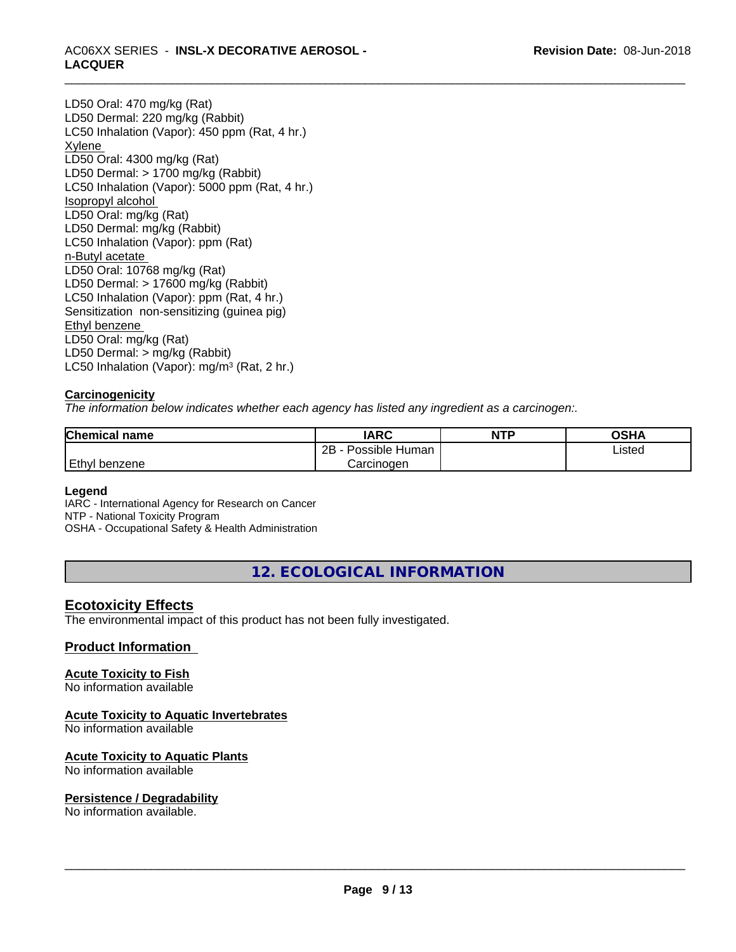# \_\_\_\_\_\_\_\_\_\_\_\_\_\_\_\_\_\_\_\_\_\_\_\_\_\_\_\_\_\_\_\_\_\_\_\_\_\_\_\_\_\_\_\_\_\_\_\_\_\_\_\_\_\_\_\_\_\_\_\_\_\_\_\_\_\_\_\_\_\_\_\_\_\_\_\_\_\_\_\_\_\_\_\_\_\_\_\_\_\_\_\_\_ AC06XX SERIES - **INSL-X DECORATIVE AEROSOL - LACQUER**

LD50 Oral: 470 mg/kg (Rat) LD50 Dermal: 220 mg/kg (Rabbit) LC50 Inhalation (Vapor): 450 ppm (Rat, 4 hr.) Xylene LD50 Oral: 4300 mg/kg (Rat) LD50 Dermal: > 1700 mg/kg (Rabbit) LC50 Inhalation (Vapor): 5000 ppm (Rat, 4 hr.) Isopropyl alcohol LD50 Oral: mg/kg (Rat) LD50 Dermal: mg/kg (Rabbit) LC50 Inhalation (Vapor): ppm (Rat) n-Butyl acetate LD50 Oral: 10768 mg/kg (Rat) LD50 Dermal: > 17600 mg/kg (Rabbit) LC50 Inhalation (Vapor): ppm (Rat, 4 hr.) Sensitization non-sensitizing (guinea pig) Ethyl benzene LD50 Oral: mg/kg (Rat) LD50 Dermal: > mg/kg (Rabbit) LC50 Inhalation (Vapor): mg/m<sup>3</sup> (Rat, 2 hr.)

# **Carcinogenicity**

*The information below indicateswhether each agency has listed any ingredient as a carcinogen:.*

| <b>Chemical name</b> | <b>IARC</b>          | <b>NTP</b> | OSHA   |  |
|----------------------|----------------------|------------|--------|--|
|                      | 2B<br>Possible Human |            | Listed |  |
| Ethyl benzene        | Carcinoɑen           |            |        |  |

# **Legend**

IARC - International Agency for Research on Cancer NTP - National Toxicity Program OSHA - Occupational Safety & Health Administration

**12. ECOLOGICAL INFORMATION**

# **Ecotoxicity Effects**

The environmental impact of this product has not been fully investigated.

# **Product Information**

# **Acute Toxicity to Fish**

No information available

# **Acute Toxicity to Aquatic Invertebrates**

No information available

# **Acute Toxicity to Aquatic Plants**

No information available

# **Persistence / Degradability**

No information available.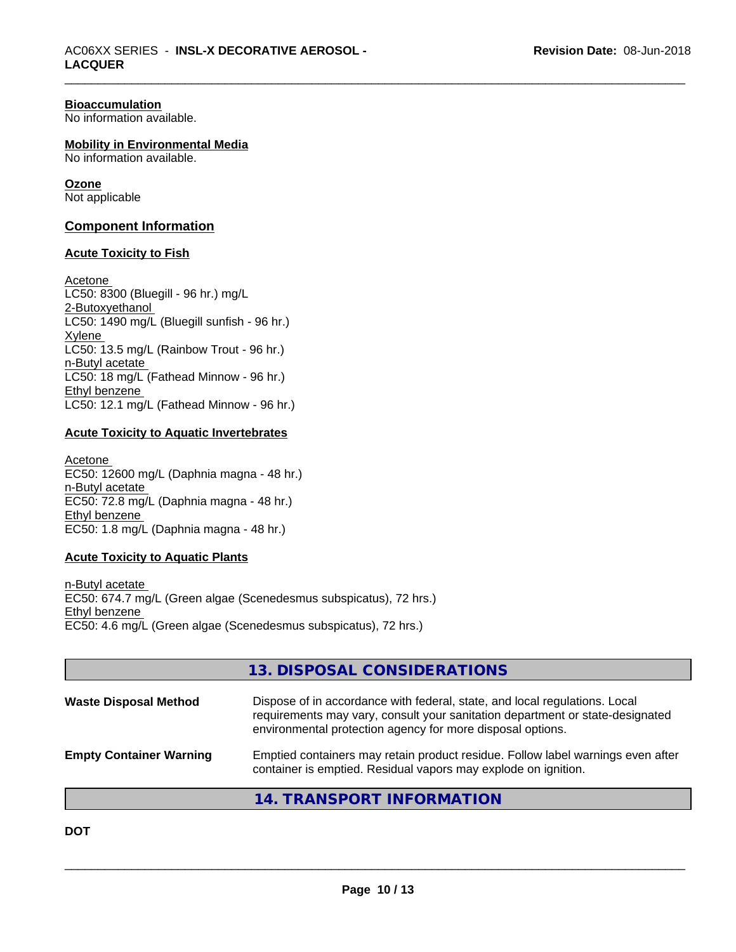#### **Bioaccumulation**

No information available.

#### **Mobility in Environmental Media**

No information available.

#### **Ozone**

Not applicable

# **Component Information**

#### **Acute Toxicity to Fish**

Acetone LC50: 8300 (Bluegill - 96 hr.) mg/L 2-Butoxyethanol LC50: 1490 mg/L (Bluegill sunfish - 96 hr.) Xylene LC50: 13.5 mg/L (Rainbow Trout - 96 hr.) n-Butyl acetate LC50: 18 mg/L (Fathead Minnow - 96 hr.) Ethyl benzene LC50: 12.1 mg/L (Fathead Minnow - 96 hr.)

# **Acute Toxicity to Aquatic Invertebrates**

Acetone EC50: 12600 mg/L (Daphnia magna - 48 hr.) n-Butyl acetate EC50: 72.8 mg/L (Daphnia magna - 48 hr.) Ethyl benzene EC50: 1.8 mg/L (Daphnia magna - 48 hr.)

# **Acute Toxicity to Aquatic Plants**

n-Butyl acetate EC50: 674.7 mg/L (Green algae (Scenedesmus subspicatus), 72 hrs.) Ethyl benzene EC50: 4.6 mg/L (Green algae (Scenedesmus subspicatus), 72 hrs.)

# **13. DISPOSAL CONSIDERATIONS**

| <b>Waste Disposal Method</b>   | Dispose of in accordance with federal, state, and local regulations. Local<br>requirements may vary, consult your sanitation department or state-designated<br>environmental protection agency for more disposal options. |
|--------------------------------|---------------------------------------------------------------------------------------------------------------------------------------------------------------------------------------------------------------------------|
| <b>Empty Container Warning</b> | Emptied containers may retain product residue. Follow label warnings even after<br>container is emptied. Residual vapors may explode on ignition.                                                                         |

# **14. TRANSPORT INFORMATION**

**DOT**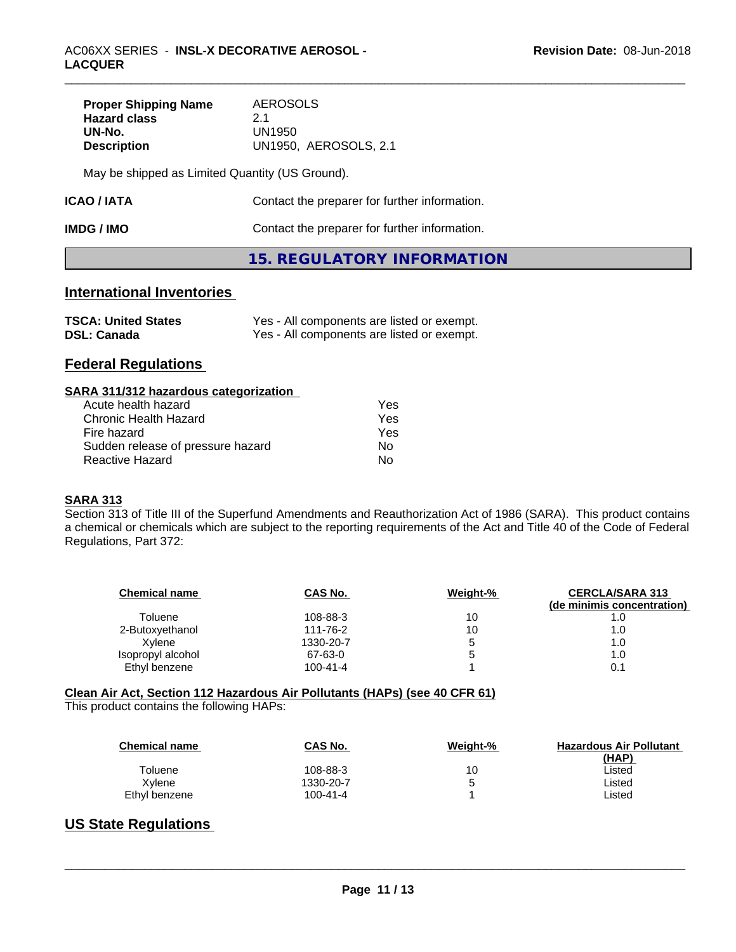| <b>Proper Shipping Name</b> | AEROSOLS              |  |
|-----------------------------|-----------------------|--|
| <b>Hazard class</b>         | 21                    |  |
| UN-No.                      | UN1950                |  |
| <b>Description</b>          | UN1950, AEROSOLS, 2.1 |  |

May be shipped as Limited Quantity (US Ground).

| <b>ICAO/IATA</b> | Contact the preparer for further information. |
|------------------|-----------------------------------------------|
|------------------|-----------------------------------------------|

| <b>IMDG / IMO</b> | Contact the preparer for further information. |
|-------------------|-----------------------------------------------|
|                   |                                               |

# **15. REGULATORY INFORMATION**

# **International Inventories**

| <b>TSCA: United States</b> | Yes - All components are listed or exempt. |
|----------------------------|--------------------------------------------|
| <b>DSL: Canada</b>         | Yes - All components are listed or exempt. |

# **Federal Regulations**

#### **SARA 311/312 hazardous categorization**

| Acute health hazard               | Yes |
|-----------------------------------|-----|
| Chronic Health Hazard             | Yes |
| Fire hazard                       | Yes |
| Sudden release of pressure hazard | Nο  |
| Reactive Hazard                   | N٥  |

# **SARA 313**

Section 313 of Title III of the Superfund Amendments and Reauthorization Act of 1986 (SARA). This product contains a chemical or chemicals which are subject to the reporting requirements of the Act and Title 40 of the Code of Federal Regulations, Part 372:

| <b>Chemical name</b> | CAS No.        | Weight-% | <b>CERCLA/SARA 313</b><br>(de minimis concentration) |
|----------------------|----------------|----------|------------------------------------------------------|
| Toluene              | 108-88-3       | 10       | 1.0                                                  |
| 2-Butoxyethanol      | 111-76-2       | 10       | 1.0                                                  |
| Xvlene               | 1330-20-7      | 5        | 1.0                                                  |
| Isopropyl alcohol    | 67-63-0        | 5        | 1.0                                                  |
| Ethyl benzene        | $100 - 41 - 4$ |          | 0.1                                                  |

# **Clean Air Act,Section 112 Hazardous Air Pollutants (HAPs) (see 40 CFR 61)**

This product contains the following HAPs:

| <b>Chemical name</b> | CAS No.        | Weight-% | <b>Hazardous Air Pollutant</b><br>(HAP) |
|----------------------|----------------|----------|-----------------------------------------|
| Toluene              | 108-88-3       | 10       | ∟isted                                  |
| Xylene               | 1330-20-7      | b        | ∟isted                                  |
| Ethyl benzene        | $100 - 41 - 4$ |          | ∟isted                                  |

# **US State Regulations**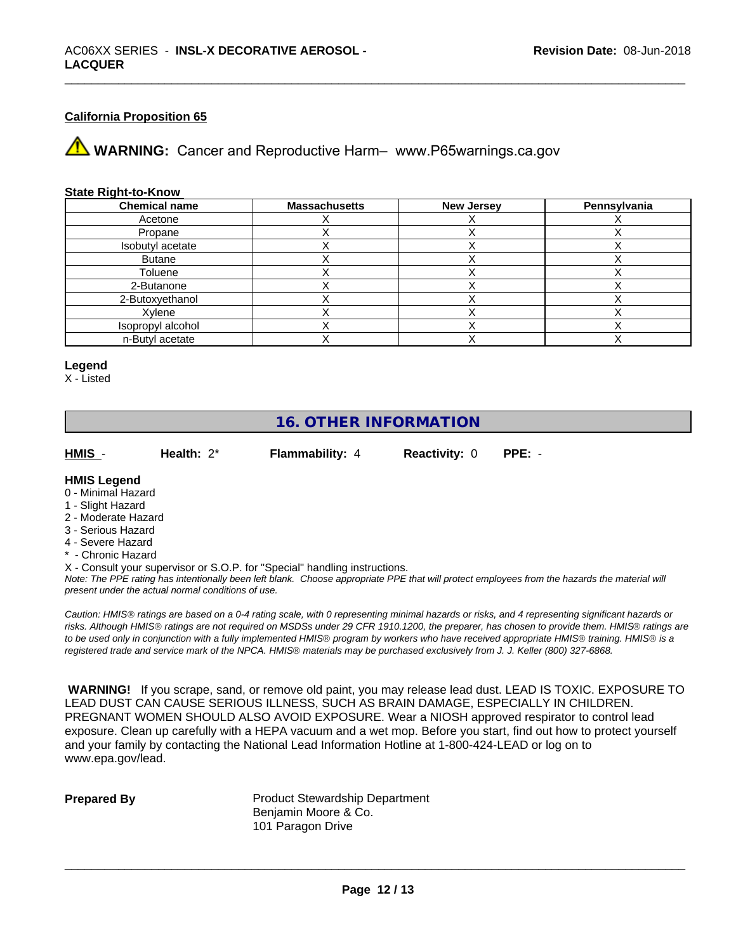# **California Proposition 65**

**AVIMARNING:** Cancer and Reproductive Harm– www.P65warnings.ca.gov

#### **State Right-to-Know**

| <b>Chemical name</b> | <b>Massachusetts</b> | <b>New Jersey</b> | Pennsylvania |
|----------------------|----------------------|-------------------|--------------|
| Acetone              |                      |                   |              |
| Propane              |                      |                   |              |
| Isobutyl acetate     |                      |                   |              |
| <b>Butane</b>        |                      |                   |              |
| Toluene              |                      |                   |              |
| 2-Butanone           |                      |                   |              |
| 2-Butoxyethanol      |                      |                   |              |
| Xylene               |                      |                   |              |
| Isopropyl alcohol    |                      |                   |              |
| n-Butyl acetate      |                      |                   |              |

#### **Legend**

X - Listed

# **16. OTHER INFORMATION**

**HMIS** - **Health:** 2\* **Flammability:** 4 **Reactivity:** 0 **PPE:** -

#### **HMIS Legend**

- 0 Minimal Hazard
- 1 Slight Hazard
- 2 Moderate Hazard
- 3 Serious Hazard
- 4 Severe Hazard
- \* Chronic Hazard
- X Consult your supervisor or S.O.P. for "Special" handling instructions.

*Note: The PPE rating has intentionally been left blank. Choose appropriate PPE that will protect employees from the hazards the material will present under the actual normal conditions of use.*

*Caution: HMISÒ ratings are based on a 0-4 rating scale, with 0 representing minimal hazards or risks, and 4 representing significant hazards or risks. Although HMISÒ ratings are not required on MSDSs under 29 CFR 1910.1200, the preparer, has chosen to provide them. HMISÒ ratings are to be used only in conjunction with a fully implemented HMISÒ program by workers who have received appropriate HMISÒ training. HMISÒ is a registered trade and service mark of the NPCA. HMISÒ materials may be purchased exclusively from J. J. Keller (800) 327-6868.*

 **WARNING!** If you scrape, sand, or remove old paint, you may release lead dust. LEAD IS TOXIC. EXPOSURE TO LEAD DUST CAN CAUSE SERIOUS ILLNESS, SUCH AS BRAIN DAMAGE, ESPECIALLY IN CHILDREN. PREGNANT WOMEN SHOULD ALSO AVOID EXPOSURE.Wear a NIOSH approved respirator to control lead exposure. Clean up carefully with a HEPA vacuum and a wet mop. Before you start, find out how to protect yourself and your family by contacting the National Lead Information Hotline at 1-800-424-LEAD or log on to www.epa.gov/lead.

**Prepared By** Product Stewardship Department Benjamin Moore & Co. 101 Paragon Drive